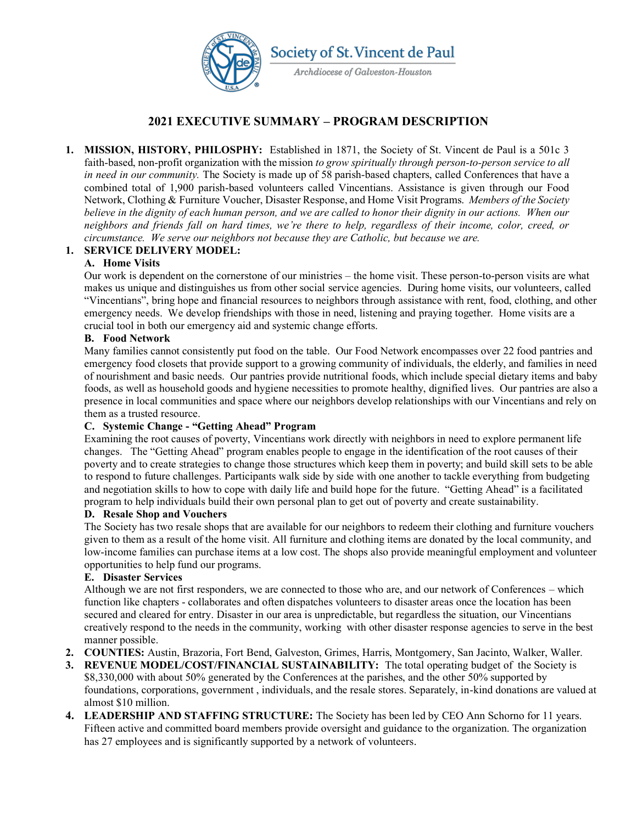

# **2021 EXECUTIVE SUMMARY ± PROGRAM DESCRIPTION**

**1. MISSION, HISTORY, PHILOSPHY:** Established in 1871, the Society of St. Vincent de Paul is a 501c 3 faith-based, non-profit organization with the mission *to grow spiritually through person-to-person service to all in need in our community.* The Society is made up of 58 parish-based chapters, called Conferences that have a combined total of 1,900 parish-based volunteers called Vincentians. Assistance is given through our Food Network, Clothing & Furniture Voucher, Disaster Response, and Home Visit Programs. *Members of the Society believe in the dignity of each human person, and we are called to honor their dignity in our actions. When our* neighbors and friends fall on hard times, we're there to help, regardless of their income, color, creed, or *circumstance. We serve our neighbors not because they are Catholic, but because we are.* 

### **1. SERVICE DELIVERY MODEL:**

#### **A. Home Visits**

Our work is dependent on the cornerstone of our ministries – the home visit. These person-to-person visits are what makes us unique and distinguishes us from other social service agencies. During home visits, our volunteers, called "Vincentians", bring hope and financial resources to neighbors through assistance with rent, food, clothing, and other emergency needs. We develop friendships with those in need, listening and praying together. Home visits are a crucial tool in both our emergency aid and systemic change efforts.

#### **B. Food Network**

Many families cannot consistently put food on the table. Our Food Network encompasses over 22 food pantries and emergency food closets that provide support to a growing community of individuals, the elderly, and families in need of nourishment and basic needs. Our pantries provide nutritional foods, which include special dietary items and baby foods, as well as household goods and hygiene necessities to promote healthy, dignified lives. Our pantries are also a presence in local communities and space where our neighbors develop relationships with our Vincentians and rely on them as a trusted resource.

#### **C.** Systemic Change - "Getting Ahead" Program

Examining the root causes of poverty, Vincentians work directly with neighbors in need to explore permanent life changes. The "Getting Ahead" program enables people to engage in the identification of the root causes of their poverty and to create strategies to change those structures which keep them in poverty; and build skill sets to be able to respond to future challenges. Participants walk side by side with one another to tackle everything from budgeting and negotiation skills to how to cope with daily life and build hope for the future. "Getting Ahead" is a facilitated program to help individuals build their own personal plan to get out of poverty and create sustainability.

## **D. Resale Shop and Vouchers**

The Society has two resale shops that are available for our neighbors to redeem their clothing and furniture vouchers given to them as a result of the home visit. All furniture and clothing items are donated by the local community, and low-income families can purchase items at a low cost. The shops also provide meaningful employment and volunteer opportunities to help fund our programs.

#### **E. Disaster Services**

Although we are not first responders, we are connected to those who are, and our network of Conferences – which function like chapters - collaborates and often dispatches volunteers to disaster areas once the location has been secured and cleared for entry. Disaster in our area is unpredictable, but regardless the situation, our Vincentians creatively respond to the needs in the community, working with other disaster response agencies to serve in the best manner possible.

- **2. COUNTIES:** Austin, Brazoria, Fort Bend, Galveston, Grimes, Harris, Montgomery, San Jacinto, Walker, Waller.
- **3. REVENUE MODEL/COST/FINANCIAL SUSTAINABILITY:** The total operating budget of the Society is \$8,330,000 with about 50% generated by the Conferences at the parishes, and the other 50% supported by foundations, corporations, government , individuals, and the resale stores. Separately, in-kind donations are valued at almost \$10 million.
- **4. LEADERSHIP AND STAFFING STRUCTURE:** The Society has been led by CEO Ann Schorno for 11 years. Fifteen active and committed board members provide oversight and guidance to the organization. The organization has 27 employees and is significantly supported by a network of volunteers.